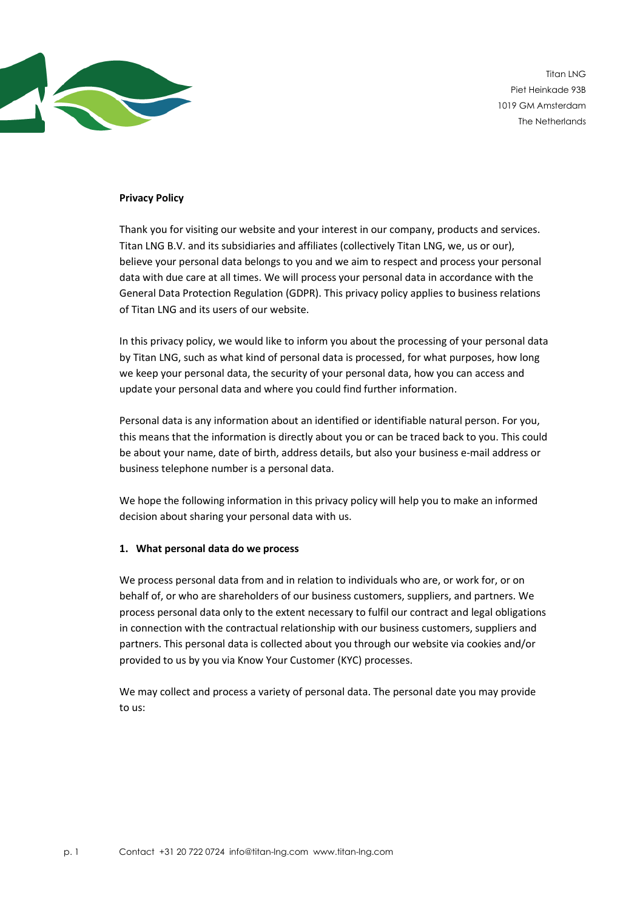

Titan LNG Piet Heinkade 93B 1019 GM Amsterdam The Netherlands

### **Privacy Policy**

Thank you for visiting our website and your interest in our company, products and services. Titan LNG B.V. and its subsidiaries and affiliates (collectively Titan LNG, we, us or our), believe your personal data belongs to you and we aim to respect and process your personal data with due care at all times. We will process your personal data in accordance with the General Data Protection Regulation (GDPR). This privacy policy applies to business relations of Titan LNG and its users of our website.

In this privacy policy, we would like to inform you about the processing of your personal data by Titan LNG, such as what kind of personal data is processed, for what purposes, how long we keep your personal data, the security of your personal data, how you can access and update your personal data and where you could find further information.

Personal data is any information about an identified or identifiable natural person. For you, this means that the information is directly about you or can be traced back to you. This could be about your name, date of birth, address details, but also your business e-mail address or business telephone number is a personal data.

We hope the following information in this privacy policy will help you to make an informed decision about sharing your personal data with us.

#### **1. What personal data do we process**

We process personal data from and in relation to individuals who are, or work for, or on behalf of, or who are shareholders of our business customers, suppliers, and partners. We process personal data only to the extent necessary to fulfil our contract and legal obligations in connection with the contractual relationship with our business customers, suppliers and partners. This personal data is collected about you through our website via cookies and/or provided to us by you via Know Your Customer (KYC) processes.

We may collect and process a variety of personal data. The personal date you may provide to us: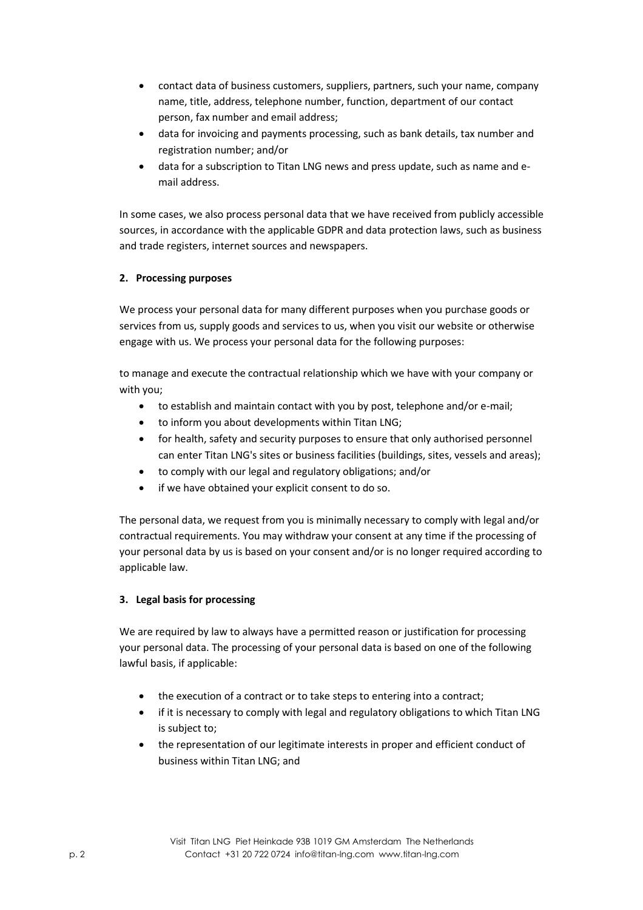- contact data of business customers, suppliers, partners, such your name, company name, title, address, telephone number, function, department of our contact person, fax number and email address;
- data for invoicing and payments processing, such as bank details, tax number and registration number; and/or
- data for a subscription to Titan LNG news and press update, such as name and email address.

In some cases, we also process personal data that we have received from publicly accessible sources, in accordance with the applicable GDPR and data protection laws, such as business and trade registers, internet sources and newspapers.

## **2. Processing purposes**

We process your personal data for many different purposes when you purchase goods or services from us, supply goods and services to us, when you visit our website or otherwise engage with us. We process your personal data for the following purposes:

to manage and execute the contractual relationship which we have with your company or with you;

- to establish and maintain contact with you by post, telephone and/or e-mail;
- to inform you about developments within Titan LNG;
- for health, safety and security purposes to ensure that only authorised personnel can enter Titan LNG's sites or business facilities (buildings, sites, vessels and areas);
- to comply with our legal and regulatory obligations; and/or
- if we have obtained your explicit consent to do so.

The personal data, we request from you is minimally necessary to comply with legal and/or contractual requirements. You may withdraw your consent at any time if the processing of your personal data by us is based on your consent and/or is no longer required according to applicable law.

# **3. Legal basis for processing**

We are required by law to always have a permitted reason or justification for processing your personal data. The processing of your personal data is based on one of the following lawful basis, if applicable:

- the execution of a contract or to take steps to entering into a contract;
- if it is necessary to comply with legal and regulatory obligations to which Titan LNG is subject to;
- the representation of our legitimate interests in proper and efficient conduct of business within Titan LNG; and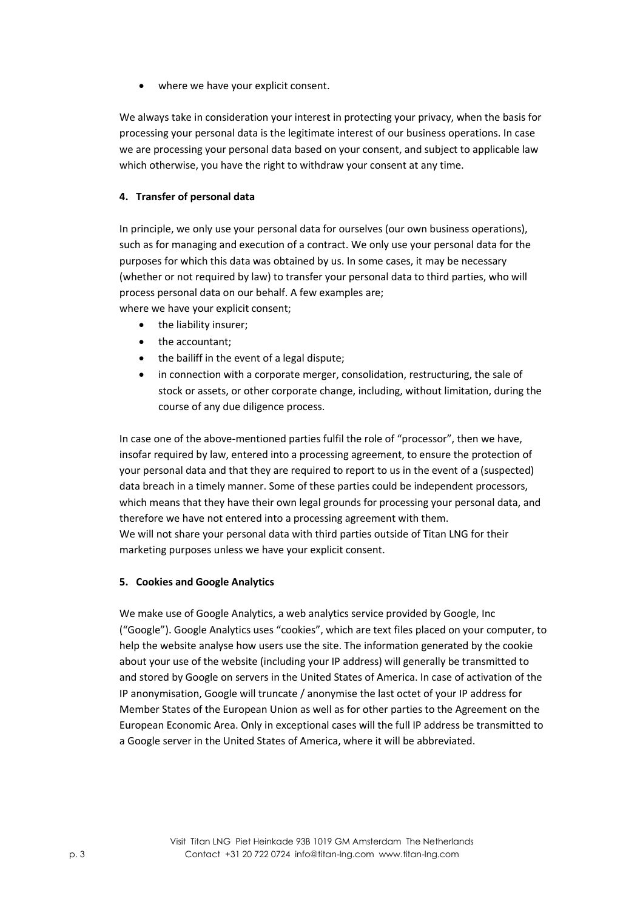• where we have your explicit consent.

We always take in consideration your interest in protecting your privacy, when the basis for processing your personal data is the legitimate interest of our business operations. In case we are processing your personal data based on your consent, and subject to applicable law which otherwise, you have the right to withdraw your consent at any time.

### **4. Transfer of personal data**

In principle, we only use your personal data for ourselves (our own business operations), such as for managing and execution of a contract. We only use your personal data for the purposes for which this data was obtained by us. In some cases, it may be necessary (whether or not required by law) to transfer your personal data to third parties, who will process personal data on our behalf. A few examples are; where we have your explicit consent;

- the liability insurer;
- the accountant;
- the bailiff in the event of a legal dispute;
- in connection with a corporate merger, consolidation, restructuring, the sale of stock or assets, or other corporate change, including, without limitation, during the course of any due diligence process.

In case one of the above-mentioned parties fulfil the role of "processor", then we have, insofar required by law, entered into a processing agreement, to ensure the protection of your personal data and that they are required to report to us in the event of a (suspected) data breach in a timely manner. Some of these parties could be independent processors, which means that they have their own legal grounds for processing your personal data, and therefore we have not entered into a processing agreement with them. We will not share your personal data with third parties outside of Titan LNG for their marketing purposes unless we have your explicit consent.

### **5. Cookies and Google Analytics**

We make use of Google Analytics, a web analytics service provided by Google, Inc ("Google"). Google Analytics uses "cookies", which are text files placed on your computer, to help the website analyse how users use the site. The information generated by the cookie about your use of the website (including your IP address) will generally be transmitted to and stored by Google on servers in the United States of America. In case of activation of the IP anonymisation, Google will truncate / anonymise the last octet of your IP address for Member States of the European Union as well as for other parties to the Agreement on the European Economic Area. Only in exceptional cases will the full IP address be transmitted to a Google server in the United States of America, where it will be abbreviated.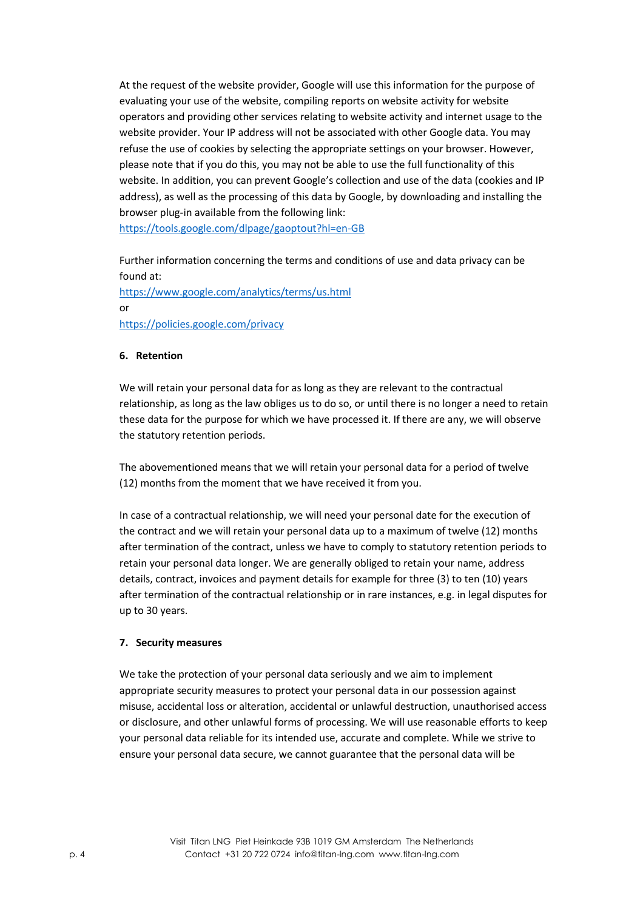At the request of the website provider, Google will use this information for the purpose of evaluating your use of the website, compiling reports on website activity for website operators and providing other services relating to website activity and internet usage to the website provider. Your IP address will not be associated with other Google data. You may refuse the use of cookies by selecting the appropriate settings on your browser. However, please note that if you do this, you may not be able to use the full functionality of this website. In addition, you can prevent Google's collection and use of the data (cookies and IP address), as well as the processing of this data by Google, by downloading and installing the browser plug-in available from the following link: <https://tools.google.com/dlpage/gaoptout?hl=en-GB>

Further information concerning the terms and conditions of use and data privacy can be

found at: <https://www.google.com/analytics/terms/us.html> or <https://policies.google.com/privacy>

### **6. Retention**

We will retain your personal data for as long as they are relevant to the contractual relationship, as long as the law obliges us to do so, or until there is no longer a need to retain these data for the purpose for which we have processed it. If there are any, we will observe the statutory retention periods.

The abovementioned means that we will retain your personal data for a period of twelve (12) months from the moment that we have received it from you.

In case of a contractual relationship, we will need your personal date for the execution of the contract and we will retain your personal data up to a maximum of twelve (12) months after termination of the contract, unless we have to comply to statutory retention periods to retain your personal data longer. We are generally obliged to retain your name, address details, contract, invoices and payment details for example for three (3) to ten (10) years after termination of the contractual relationship or in rare instances, e.g. in legal disputes for up to 30 years.

### **7. Security measures**

We take the protection of your personal data seriously and we aim to implement appropriate security measures to protect your personal data in our possession against misuse, accidental loss or alteration, accidental or unlawful destruction, unauthorised access or disclosure, and other unlawful forms of processing. We will use reasonable efforts to keep your personal data reliable for its intended use, accurate and complete. While we strive to ensure your personal data secure, we cannot guarantee that the personal data will be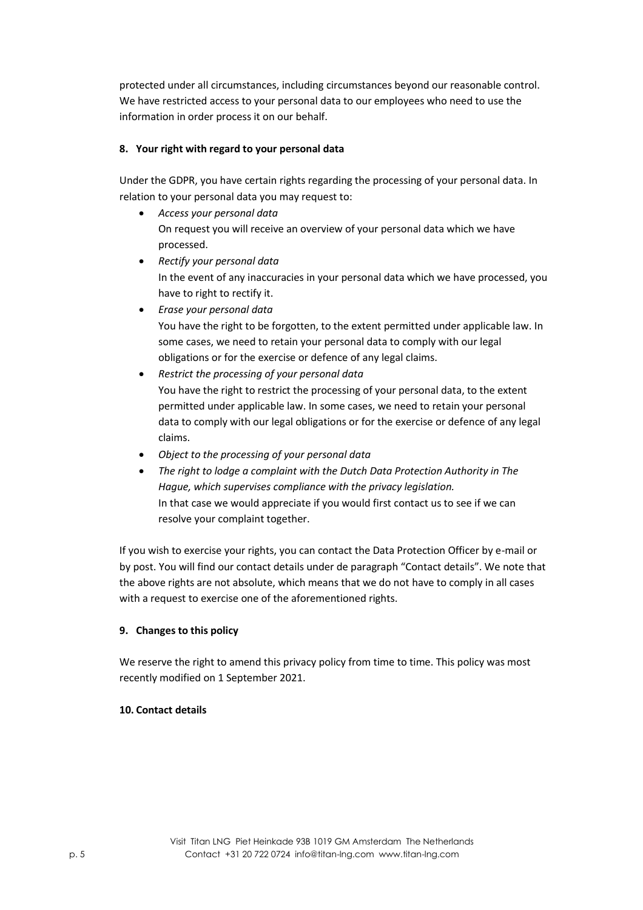protected under all circumstances, including circumstances beyond our reasonable control. We have restricted access to your personal data to our employees who need to use the information in order process it on our behalf.

## **8. Your right with regard to your personal data**

Under the GDPR, you have certain rights regarding the processing of your personal data. In relation to your personal data you may request to:

- *Access your personal data* On request you will receive an overview of your personal data which we have processed.
- *Rectify your personal data* In the event of any inaccuracies in your personal data which we have processed, you have to right to rectify it.
- *Erase your personal data* You have the right to be forgotten, to the extent permitted under applicable law. In some cases, we need to retain your personal data to comply with our legal obligations or for the exercise or defence of any legal claims.
- *Restrict the processing of your personal data* You have the right to restrict the processing of your personal data, to the extent permitted under applicable law. In some cases, we need to retain your personal data to comply with our legal obligations or for the exercise or defence of any legal claims.
- *Object to the processing of your personal data*
- *The right to lodge a complaint with the Dutch Data Protection Authority in The Hague, which supervises compliance with the privacy legislation.*  In that case we would appreciate if you would first contact us to see if we can resolve your complaint together.

If you wish to exercise your rights, you can contact the Data Protection Officer by e-mail or by post. You will find our contact details under de paragraph "Contact details". We note that the above rights are not absolute, which means that we do not have to comply in all cases with a request to exercise one of the aforementioned rights.

### **9. Changes to this policy**

We reserve the right to amend this privacy policy from time to time. This policy was most recently modified on 1 September 2021.

### **10. Contact details**